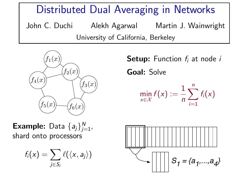Distributed Dual Averaging in Networks John C. Duchi Alekh Agarwal Martin J. Wainwright

University of California, Berkeley



**Example:** Data  $\{a_j\}_{j=1}^N$ , shard onto processors

$$
f_i(x) = \sum_{j \in S_i} \ell(\langle x, a_j \rangle)
$$

 $f_1(x)$  Setup: Function  $f_i$  at node i Goal: Solve

$$
\min_{x \in \mathcal{X}} f(x) := \frac{1}{n} \sum_{i=1}^n f_i(x)
$$

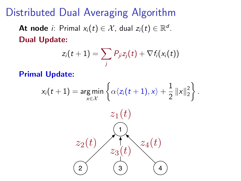## Distributed Dual Averaging Algorithm

**At node** *i*: Primal  $x_i(t) \in \mathcal{X}$ , dual  $z_i(t) \in \mathbb{R}^d$ . Dual Update:

$$
z_i(t+1) = \sum_j P_{ji} z_j(t) + \nabla f_i(x_i(t))
$$

Primal Update:

$$
x_i(t+1) = \underset{x \in \mathcal{X}}{\arg \min} \left\{ \alpha \langle z_i(t+1), x \rangle + \frac{1}{2} ||x||_2^2 \right\}.
$$
  

$$
z_1(t)
$$
  

$$
z_2(t)
$$
  

$$
z_3(t)
$$
  

$$
z_4(t)
$$
  

$$
z_2(t)
$$
  

$$
z_3(t)
$$
  

$$
z_4(t)
$$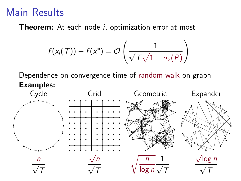## Main Results

**Theorem:** At each node *i*, optimization error at most

$$
f(x_i(T)) - f(x^*) = \mathcal{O}\left(\frac{1}{\sqrt{T}\sqrt{1-\sigma_2(P)}}\right)
$$

.

Dependence on convergence time of random walk on graph. Examples: